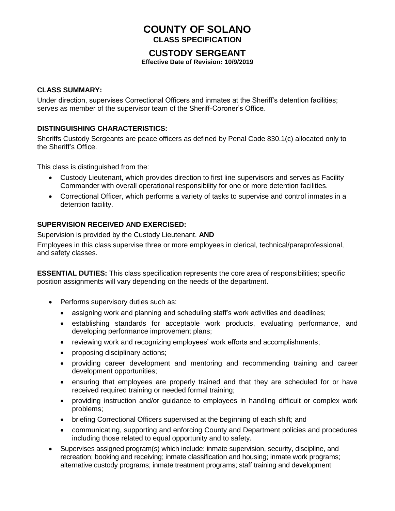# **COUNTY OF SOLANO CLASS SPECIFICATION**

## **CUSTODY SERGEANT**

**Effective Date of Revision: 10/9/2019**

#### **CLASS SUMMARY:**

Under direction, supervises Correctional Officers and inmates at the Sheriff's detention facilities; serves as member of the supervisor team of the Sheriff-Coroner's Office*.*

#### **DISTINGUISHING CHARACTERISTICS:**

Sheriffs Custody Sergeants are peace officers as defined by Penal Code 830.1(c) allocated only to the Sheriff's Office.

This class is distinguished from the:

- Custody Lieutenant, which provides direction to first line supervisors and serves as Facility Commander with overall operational responsibility for one or more detention facilities.
- Correctional Officer, which performs a variety of tasks to supervise and control inmates in a detention facility.

#### **SUPERVISION RECEIVED AND EXERCISED:**

Supervision is provided by the Custody Lieutenant. **AND**

Employees in this class supervise three or more employees in clerical, technical/paraprofessional, and safety classes.

**ESSENTIAL DUTIES:** This class specification represents the core area of responsibilities; specific position assignments will vary depending on the needs of the department.

- Performs supervisory duties such as:
	- assigning work and planning and scheduling staff's work activities and deadlines;
	- establishing standards for acceptable work products, evaluating performance, and developing performance improvement plans;
	- reviewing work and recognizing employees' work efforts and accomplishments;
	- proposing disciplinary actions;
	- providing career development and mentoring and recommending training and career development opportunities;
	- ensuring that employees are properly trained and that they are scheduled for or have received required training or needed formal training;
	- providing instruction and/or guidance to employees in handling difficult or complex work problems;
	- briefing Correctional Officers supervised at the beginning of each shift; and
	- communicating, supporting and enforcing County and Department policies and procedures including those related to equal opportunity and to safety.
- Supervises assigned program(s) which include: inmate supervision, security, discipline, and recreation; booking and receiving; inmate classification and housing; inmate work programs; alternative custody programs; inmate treatment programs; staff training and development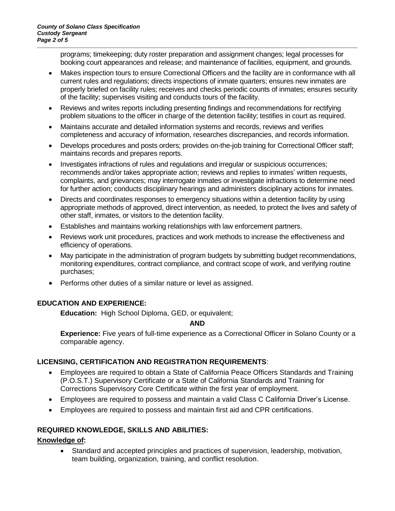programs; timekeeping; duty roster preparation and assignment changes; legal processes for booking court appearances and release; and maintenance of facilities, equipment, and grounds.

- Makes inspection tours to ensure Correctional Officers and the facility are in conformance with all current rules and regulations; directs inspections of inmate quarters; ensures new inmates are properly briefed on facility rules; receives and checks periodic counts of inmates; ensures security of the facility; supervises visiting and conducts tours of the facility.
- Reviews and writes reports including presenting findings and recommendations for rectifying problem situations to the officer in charge of the detention facility; testifies in court as required.
- Maintains accurate and detailed information systems and records, reviews and verifies completeness and accuracy of information, researches discrepancies, and records information.
- Develops procedures and posts orders; provides on-the-job training for Correctional Officer staff; maintains records and prepares reports.
- Investigates infractions of rules and regulations and irregular or suspicious occurrences; recommends and/or takes appropriate action; reviews and replies to inmates' written requests, complaints, and grievances; may interrogate inmates or investigate infractions to determine need for further action; conducts disciplinary hearings and administers disciplinary actions for inmates.
- Directs and coordinates responses to emergency situations within a detention facility by using appropriate methods of approved, direct intervention, as needed, to protect the lives and safety of other staff, inmates, or visitors to the detention facility.
- Establishes and maintains working relationships with law enforcement partners.
- Reviews work unit procedures, practices and work methods to increase the effectiveness and efficiency of operations.
- May participate in the administration of program budgets by submitting budget recommendations, monitoring expenditures, contract compliance, and contract scope of work, and verifying routine purchases;
- Performs other duties of a similar nature or level as assigned.

#### **EDUCATION AND EXPERIENCE:**

**Education:** High School Diploma, GED, or equivalent;

#### **AND**

**Experience:** Five years of full-time experience as a Correctional Officer in Solano County or a comparable agency.

#### **LICENSING, CERTIFICATION AND REGISTRATION REQUIREMENTS**:

- Employees are required to obtain a State of California Peace Officers Standards and Training (P.O.S.T.) Supervisory Certificate or a State of California Standards and Training for Corrections Supervisory Core Certificate within the first year of employment.
- Employees are required to possess and maintain a valid Class C California Driver's License.
- Employees are required to possess and maintain first aid and CPR certifications.

#### **REQUIRED KNOWLEDGE, SKILLS AND ABILITIES:**

#### **Knowledge of:**

• Standard and accepted principles and practices of supervision, leadership, motivation, team building, organization, training, and conflict resolution.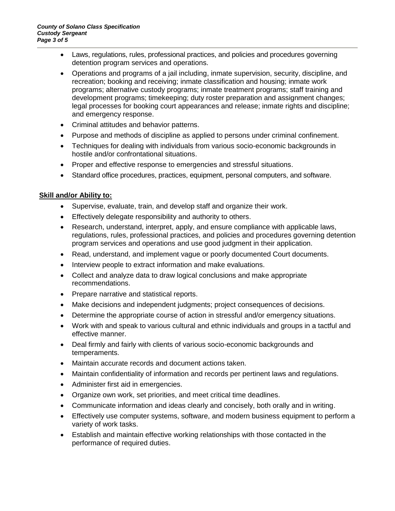- Laws, regulations, rules, professional practices, and policies and procedures governing detention program services and operations.
- Operations and programs of a jail including, inmate supervision, security, discipline, and recreation; booking and receiving; inmate classification and housing; inmate work programs; alternative custody programs; inmate treatment programs; staff training and development programs; timekeeping; duty roster preparation and assignment changes; legal processes for booking court appearances and release; inmate rights and discipline; and emergency response.
- Criminal attitudes and behavior patterns.
- Purpose and methods of discipline as applied to persons under criminal confinement.
- Techniques for dealing with individuals from various socio-economic backgrounds in hostile and/or confrontational situations.
- Proper and effective response to emergencies and stressful situations.
- Standard office procedures, practices, equipment, personal computers, and software.

### **Skill and/or Ability to:**

- Supervise, evaluate, train, and develop staff and organize their work.
- Effectively delegate responsibility and authority to others.
- Research, understand, interpret, apply, and ensure compliance with applicable laws, regulations, rules, professional practices, and policies and procedures governing detention program services and operations and use good judgment in their application.
- Read, understand, and implement vague or poorly documented Court documents.
- Interview people to extract information and make evaluations.
- Collect and analyze data to draw logical conclusions and make appropriate recommendations.
- Prepare narrative and statistical reports.
- Make decisions and independent judgments; project consequences of decisions.
- Determine the appropriate course of action in stressful and/or emergency situations.
- Work with and speak to various cultural and ethnic individuals and groups in a tactful and effective manner.
- Deal firmly and fairly with clients of various socio-economic backgrounds and temperaments.
- Maintain accurate records and document actions taken.
- Maintain confidentiality of information and records per pertinent laws and regulations.
- Administer first aid in emergencies.
- Organize own work, set priorities, and meet critical time deadlines.
- Communicate information and ideas clearly and concisely, both orally and in writing.
- Effectively use computer systems, software, and modern business equipment to perform a variety of work tasks.
- Establish and maintain effective working relationships with those contacted in the performance of required duties.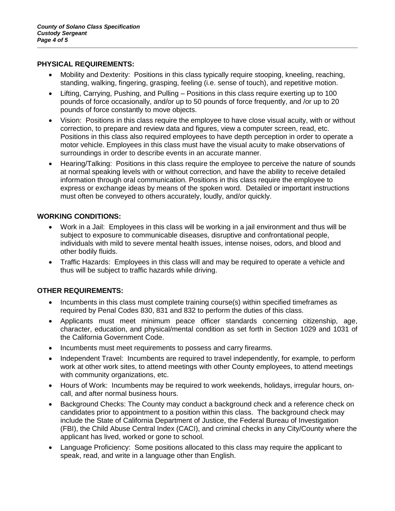#### **PHYSICAL REQUIREMENTS:**

- Mobility and Dexterity: Positions in this class typically require stooping, kneeling, reaching, standing, walking, fingering, grasping, feeling (i.e. sense of touch), and repetitive motion.
- Lifting, Carrying, Pushing, and Pulling Positions in this class require exerting up to 100 pounds of force occasionally, and/or up to 50 pounds of force frequently, and /or up to 20 pounds of force constantly to move objects.
- Vision: Positions in this class require the employee to have close visual acuity, with or without correction, to prepare and review data and figures, view a computer screen, read, etc. Positions in this class also required employees to have depth perception in order to operate a motor vehicle. Employees in this class must have the visual acuity to make observations of surroundings in order to describe events in an accurate manner.
- Hearing/Talking: Positions in this class require the employee to perceive the nature of sounds at normal speaking levels with or without correction, and have the ability to receive detailed information through oral communication. Positions in this class require the employee to express or exchange ideas by means of the spoken word. Detailed or important instructions must often be conveyed to others accurately, loudly, and/or quickly.

### **WORKING CONDITIONS:**

- Work in a Jail: Employees in this class will be working in a jail environment and thus will be subject to exposure to communicable diseases, disruptive and confrontational people, individuals with mild to severe mental health issues, intense noises, odors, and blood and other bodily fluids.
- Traffic Hazards: Employees in this class will and may be required to operate a vehicle and thus will be subject to traffic hazards while driving.

### **OTHER REQUIREMENTS:**

- Incumbents in this class must complete training course(s) within specified timeframes as required by Penal Codes 830, 831 and 832 to perform the duties of this class.
- Applicants must meet minimum peace officer standards concerning citizenship, age, character, education, and physical/mental condition as set forth in Section 1029 and 1031 of the California Government Code.
- Incumbents must meet requirements to possess and carry firearms.
- Independent Travel: Incumbents are required to travel independently, for example, to perform work at other work sites, to attend meetings with other County employees, to attend meetings with community organizations, etc.
- Hours of Work: Incumbents may be required to work weekends, holidays, irregular hours, oncall, and after normal business hours.
- Background Checks: The County may conduct a background check and a reference check on candidates prior to appointment to a position within this class. The background check may include the State of California Department of Justice, the Federal Bureau of Investigation (FBI), the Child Abuse Central Index (CACI), and criminal checks in any City/County where the applicant has lived, worked or gone to school.
- Language Proficiency: Some positions allocated to this class may require the applicant to speak, read, and write in a language other than English.